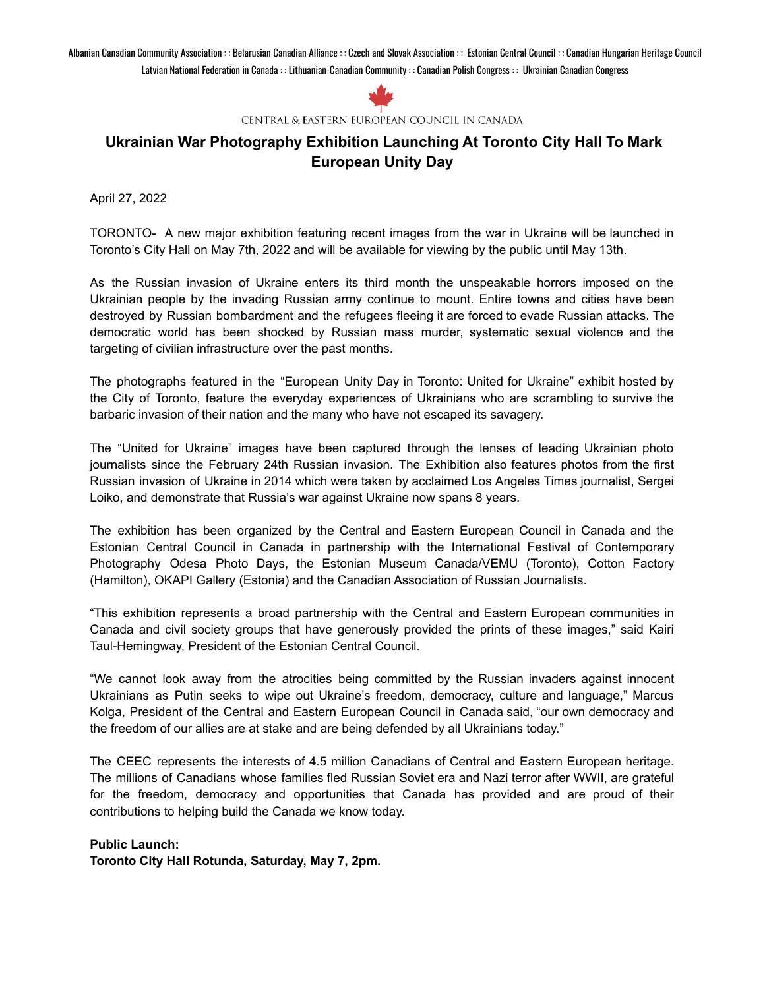Albanian Canadian Community Association : : Belarusian Canadian Alliance : : Czech and Slovak Association : : Estonian Central Council : : Canadian Hungarian Heritage Council Latvian National Federation in Canada : : Lithuanian-Canadian Community : : Canadian Polish Congress : : Ukrainian Canadian Congress



CENTRAL & EASTERN EUROPEAN COUNCIL IN CANADA

## **Ukrainian War Photography Exhibition Launching At Toronto City Hall To Mark European Unity Day**

April 27, 2022

TORONTO- A new major exhibition featuring recent images from the war in Ukraine will be launched in Toronto's City Hall on May 7th, 2022 and will be available for viewing by the public until May 13th.

As the Russian invasion of Ukraine enters its third month the unspeakable horrors imposed on the Ukrainian people by the invading Russian army continue to mount. Entire towns and cities have been destroyed by Russian bombardment and the refugees fleeing it are forced to evade Russian attacks. The democratic world has been shocked by Russian mass murder, systematic sexual violence and the targeting of civilian infrastructure over the past months.

The photographs featured in the "European Unity Day in Toronto: United for Ukraine" exhibit hosted by the City of Toronto, feature the everyday experiences of Ukrainians who are scrambling to survive the barbaric invasion of their nation and the many who have not escaped its savagery.

The "United for Ukraine" images have been captured through the lenses of leading Ukrainian photo journalists since the February 24th Russian invasion. The Exhibition also features photos from the first Russian invasion of Ukraine in 2014 which were taken by acclaimed Los Angeles Times journalist, Sergei Loiko, and demonstrate that Russia's war against Ukraine now spans 8 years.

The exhibition has been organized by the Central and Eastern European Council in Canada and the Estonian Central Council in Canada in partnership with the International Festival of Contemporary Photography Odesa Photo Days, the Estonian Museum Canada/VEMU (Toronto), Cotton Factory (Hamilton), OKAPI Gallery (Estonia) and the Canadian Association of Russian Journalists.

"This exhibition represents a broad partnership with the Central and Eastern European communities in Canada and civil society groups that have generously provided the prints of these images," said Kairi Taul-Hemingway, President of the Estonian Central Council.

"We cannot look away from the atrocities being committed by the Russian invaders against innocent Ukrainians as Putin seeks to wipe out Ukraine's freedom, democracy, culture and language," Marcus Kolga, President of the Central and Eastern European Council in Canada said, "our own democracy and the freedom of our allies are at stake and are being defended by all Ukrainians today."

The CEEC represents the interests of 4.5 million Canadians of Central and Eastern European heritage. The millions of Canadians whose families fled Russian Soviet era and Nazi terror after WWII, are grateful for the freedom, democracy and opportunities that Canada has provided and are proud of their contributions to helping build the Canada we know today.

**Public Launch: Toronto City Hall Rotunda, Saturday, May 7, 2pm.**